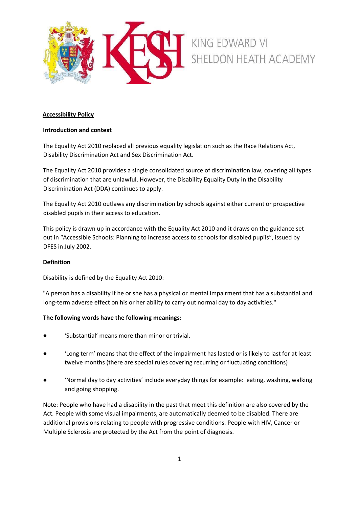

#### **Accessibility Policy**

#### **Introduction and context**

The Equality Act 2010 replaced all previous equality legislation such as the Race Relations Act, Disability Discrimination Act and Sex Discrimination Act.

The Equality Act 2010 provides a single consolidated source of discrimination law, covering all types of discrimination that are unlawful. However, the Disability Equality Duty in the Disability Discrimination Act (DDA) continues to apply.

The Equality Act 2010 outlaws any discrimination by schools against either current or prospective disabled pupils in their access to education.

This policy is drawn up in accordance with the Equality Act 2010 and it draws on the guidance set out in "Accessible Schools: Planning to increase access to schools for disabled pupils", issued by DFES in July 2002.

## **Definition**

Disability is defined by the Equality Act 2010:

"A person has a disability if he or she has a physical or mental impairment that has a substantial and long-term adverse effect on his or her ability to carry out normal day to day activities."

## **The following words have the following meanings:**

- 'Substantial' means more than minor or trivial.
- 'Long term' means that the effect of the impairment has lasted or is likely to last for at least twelve months (there are special rules covering recurring or fluctuating conditions)
- 'Normal day to day activities' include everyday things for example: eating, washing, walking and going shopping.

Note: People who have had a disability in the past that meet this definition are also covered by the Act. People with some visual impairments, are automatically deemed to be disabled. There are additional provisions relating to people with progressive conditions. People with HIV, Cancer or Multiple Sclerosis are protected by the Act from the point of diagnosis.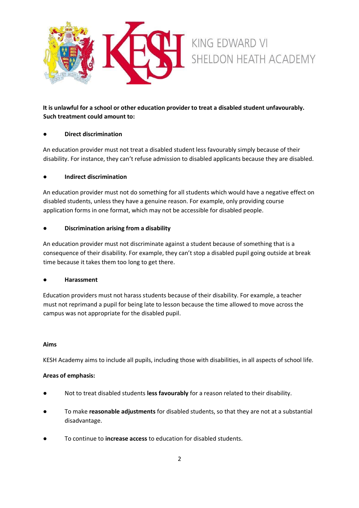

# **It is unlawful for a school or other education provider to treat a disabled student unfavourably. Such treatment could amount to:**

## **Direct discrimination**

An education provider must not treat a disabled student less favourably simply because of their disability. For instance, they can't refuse admission to disabled applicants because they are disabled.

## **Indirect discrimination**

An education provider must not do something for all students which would have a negative effect on disabled students, unless they have a genuine reason. For example, only providing course application forms in one format, which may not be accessible for disabled people.

## **Discrimination arising from a disability**

An education provider must not discriminate against a student because of something that is a consequence of their disability. For example, they can't stop a disabled pupil going outside at break time because it takes them too long to get there.

## ● **Harassment**

Education providers must not harass students because of their disability. For example, a teacher must not reprimand a pupil for being late to lesson because the time allowed to move across the campus was not appropriate for the disabled pupil.

## **Aims**

KESH Academy aims to include all pupils, including those with disabilities, in all aspects of school life.

## **Areas of emphasis:**

- Not to treat disabled students less favourably for a reason related to their disability.
- To make **reasonable adjustments** for disabled students, so that they are not at a substantial disadvantage.
- To continue to **increase access** to education for disabled students.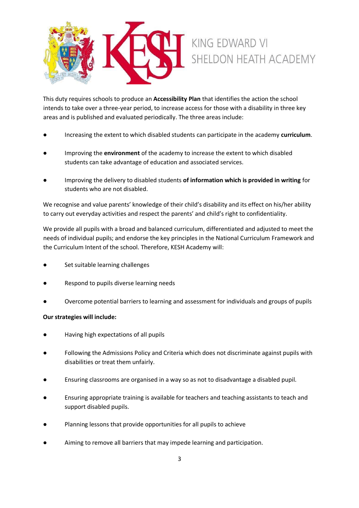

This duty requires schools to produce an **Accessibility Plan** that identifies the action the school intends to take over a three-year period, to increase access for those with a disability in three key areas and is published and evaluated periodically. The three areas include:

- Increasing the extent to which disabled students can participate in the academy **curriculum**.
- Improving the **environment** of the academy to increase the extent to which disabled students can take advantage of education and associated services.
- Improving the delivery to disabled students **of information which is provided in writing** for students who are not disabled.

We recognise and value parents' knowledge of their child's disability and its effect on his/her ability to carry out everyday activities and respect the parents' and child's right to confidentiality.

We provide all pupils with a broad and balanced curriculum, differentiated and adjusted to meet the needs of individual pupils; and endorse the key principles in the National Curriculum Framework and the Curriculum Intent of the school. Therefore, KESH Academy will:

- Set suitable learning challenges
- Respond to pupils diverse learning needs
- Overcome potential barriers to learning and assessment for individuals and groups of pupils

## **Our strategies will include:**

- Having high expectations of all pupils
- Following the Admissions Policy and Criteria which does not discriminate against pupils with disabilities or treat them unfairly.
- Ensuring classrooms are organised in a way so as not to disadvantage a disabled pupil.
- Ensuring appropriate training is available for teachers and teaching assistants to teach and support disabled pupils.
- Planning lessons that provide opportunities for all pupils to achieve
- Aiming to remove all barriers that may impede learning and participation.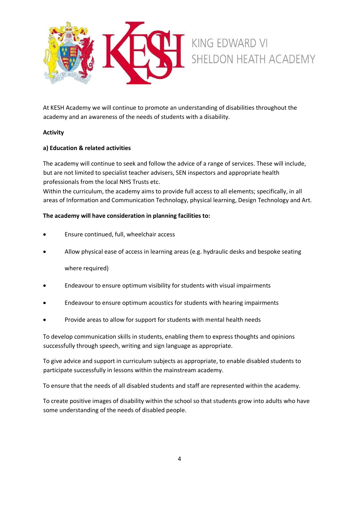

At KESH Academy we will continue to promote an understanding of disabilities throughout the academy and an awareness of the needs of students with a disability.

## **Activity**

## **a) Education & related activities**

The academy will continue to seek and follow the advice of a range of services. These will include, but are not limited to specialist teacher advisers, SEN inspectors and appropriate health professionals from the local NHS Trusts etc.

Within the curriculum, the academy aims to provide full access to all elements; specifically, in all areas of Information and Communication Technology, physical learning, Design Technology and Art.

## **The academy will have consideration in planning facilities to:**

- Ensure continued, full, wheelchair access
- Allow physical ease of access in learning areas (e.g. hydraulic desks and bespoke seating

where required)

- Endeavour to ensure optimum visibility for students with visual impairments
- Endeavour to ensure optimum acoustics for students with hearing impairments
- Provide areas to allow for support for students with mental health needs

To develop communication skills in students, enabling them to express thoughts and opinions successfully through speech, writing and sign language as appropriate.

To give advice and support in curriculum subjects as appropriate, to enable disabled students to participate successfully in lessons within the mainstream academy.

To ensure that the needs of all disabled students and staff are represented within the academy.

To create positive images of disability within the school so that students grow into adults who have some understanding of the needs of disabled people.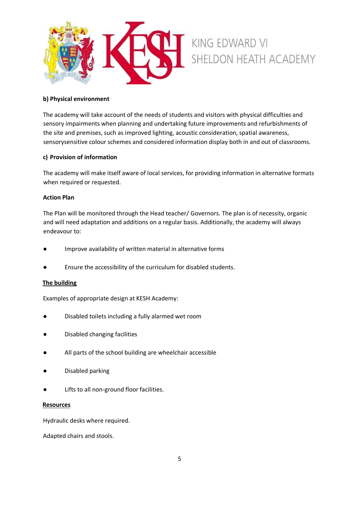

#### **b) Physical environment**

The academy will take account of the needs of students and visitors with physical difficulties and sensory impairments when planning and undertaking future improvements and refurbishments of the site and premises, such as improved lighting, acoustic consideration, spatial awareness, sensorysensitive colour schemes and considered information display both in and out of classrooms.

#### **c) Provision of information**

The academy will make itself aware of local services, for providing information in alternative formats when required or requested.

#### **Action Plan**

The Plan will be monitored through the Head teacher/ Governors. The plan is of necessity, organic and will need adaptation and additions on a regular basis. Additionally, the academy will always endeavour to:

- Improve availability of written material in alternative forms
- Ensure the accessibility of the curriculum for disabled students.

#### **The building**

Examples of appropriate design at KESH Academy:

- Disabled toilets including a fully alarmed wet room
- Disabled changing facilities
- All parts of the school building are wheelchair accessible
- Disabled parking
- Lifts to all non-ground floor facilities.

#### **Resources**

Hydraulic desks where required.

Adapted chairs and stools.